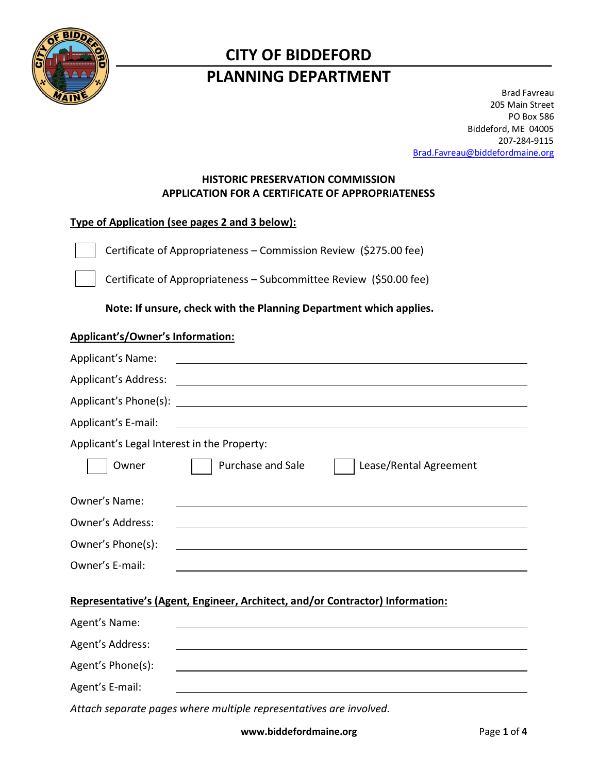

# **CITY OF BIDDEFORD PLANNING DEPARTMENT**

Brad Favreau 205 Main Street PO Box 586 Biddeford, ME 04005 207-284-9115 [Brad.Favreau@biddefordmaine.org](mailto:Brad.Favreau@biddefordmaine.org)

## **HISTORIC PRESERVATION COMMISSION APPLICATION FOR A CERTIFICATE OF APPROPRIATENESS**

# **Type of Application (see pages 2 and 3 below):**

Certificate of Appropriateness – Commission Review (\$275.00 fee)

Certificate of Appropriateness – Subcommittee Review (\$50.00 fee)

**Note: If unsure, check with the Planning Department which applies.** 

# **Applicant's/Owner's Information:** Applicant's Name: Applicant's Address: Applicant's Phone(s): Applicant's E-mail: Applicant's Legal Interest in the Property: Owner **Purchase and Sale Purchase 1** | Lease/Rental Agreement Owner's Name: Owner's Address: Owner's Phone(s): Owner's E-mail: **Representative's (Agent, Engineer, Architect, and/or Contractor) Information:** Agent's Name: Agent's Address: Agent's Phone(s): Agent's E-mail:

*Attach separate pages where multiple representatives are involved.*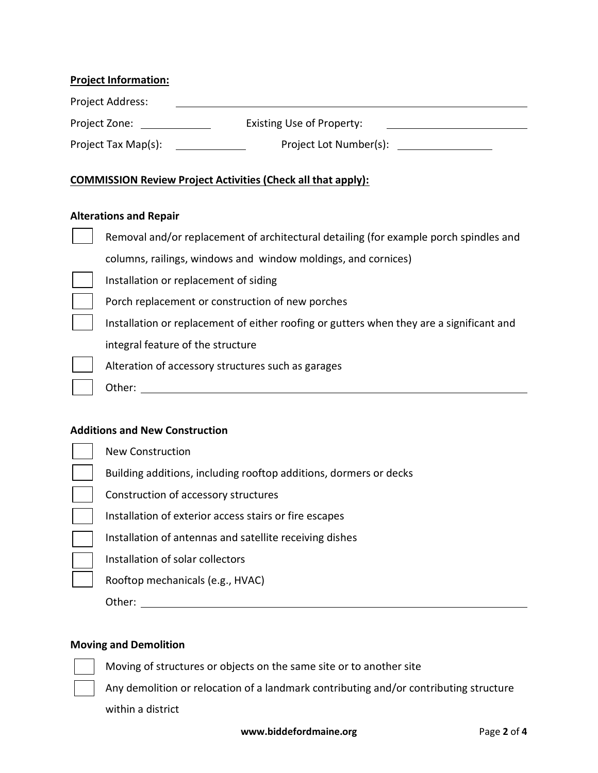#### **Project Information:**

| <b>Project Address:</b> |                                  |  |
|-------------------------|----------------------------------|--|
| Project Zone:           | <b>Existing Use of Property:</b> |  |
| Project Tax Map(s):     | Project Lot Number(s):           |  |

### **COMMISSION Review Project Activities (Check all that apply):**

#### **Alterations and Repair**

 $\overline{a}$  $\overline{\phantom{0}}$ 

| Removal and/or replacement of architectural detailing (for example porch spindles and    |
|------------------------------------------------------------------------------------------|
| columns, railings, windows and window moldings, and cornices)                            |
| Installation or replacement of siding                                                    |
| Porch replacement or construction of new porches                                         |
| Installation or replacement of either roofing or gutters when they are a significant and |
| integral feature of the structure                                                        |
| Alteration of accessory structures such as garages                                       |
| Other:                                                                                   |

#### **Additions and New Construction**

| New Construction                                                  |
|-------------------------------------------------------------------|
|                                                                   |
| Building additions, including rooftop additions, dormers or decks |
| Construction of accessory structures                              |
| Installation of exterior access stairs or fire escapes            |
| Installation of antennas and satellite receiving dishes           |
| Installation of solar collectors                                  |
| Rooftop mechanicals (e.g., HVAC)                                  |
| Other:                                                            |

#### **Moving and Demolition**

Moving of structures or objects on the same site or to another site

Any demolition or relocation of a landmark contributing and/or contributing structure

within a district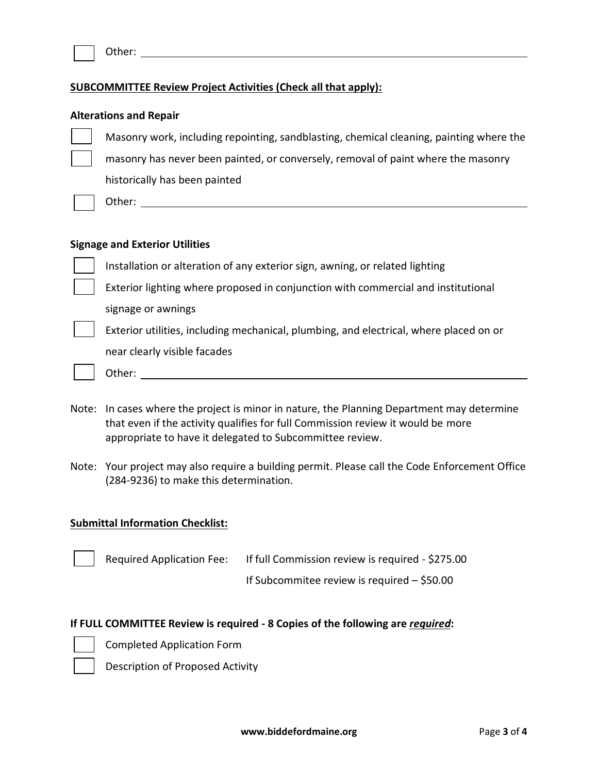| Other: |  |
|--------|--|
|        |  |

#### **SUBCOMMITTEE Review Project Activities (Check all that apply):**

#### **Alterations and Repair**

Masonry work, including repointing, sandblasting, chemical cleaning, painting where the masonry has never been painted, or conversely, removal of paint where the masonry historically has been painted

Other: when the contract of the contract of the contract of the contract of the contract of the contract of the contract of the contract of the contract of the contract of the contract of the contract of the contract of th

#### **Signage and Exterior Utilities**

Installation or alteration of any exterior sign, awning, or related lighting

Exterior lighting where proposed in conjunction with commercial and institutional

signage or awnings

Exterior utilities, including mechanical, plumbing, and electrical, where placed on or near clearly visible facades

- Other:
- Note: In cases where the project is minor in nature, the Planning Department may determine that even if the activity qualifies for full Commission review it would be more appropriate to have it delegated to Subcommittee review.
- Note: Your project may also require a building permit. Please call the Code Enforcement Office (284-9236) to make this determination.

#### **Submittal Information Checklist:**

| <b>Required Application Fee:</b> | If full Commission review is required - \$275.00 |  |
|----------------------------------|--------------------------------------------------|--|
|                                  | If Subcommitee review is required $-$ \$50.00    |  |

#### **If FULL COMMITTEE Review is required - 8 Copies of the following are** *required***:**

Completed Application Form

Description of Proposed Activity